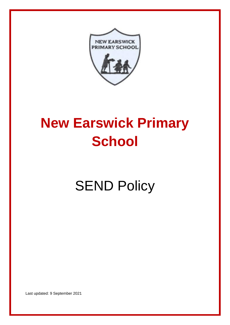

# **New Earswick Primary School**

# **SEND Policy**

Last updated: 9 September 2021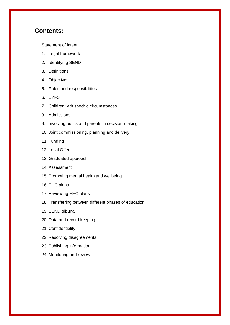# **Contents:**

[Statement of intent](#page-2-0)

- 1. [Legal framework](#page-3-0)
- 2. [Identifying SEND](#page-4-0)
- 3. [Definitions](#page-4-1)
- 4. [Objectives](#page-5-0)
- 5. [Roles and responsibilities](#page-6-0)
- 6. [EYFS](#page-9-0)
- 7. [Children with specific circumstances](#page-9-1)
- 8. [Admissions](#page-10-0)
- 9. [Involving pupils and parents in decision-making](#page-10-1)
- 10. [Joint commissioning, planning and delivery](#page-11-0)
- 11. [Funding](#page-12-0)
- 12. [Local Offer](#page-12-1)
- 13. [Graduated approach](#page-12-2)
- 14. [Assessment](#page-13-0)
- 15. [Promoting mental health and wellbeing](#page-13-1)
- 16. [EHC plans](#page-14-0)
- 17. [Reviewing EHC plans](#page-16-0)
- 18. [Transferring between different phases of education](#page-16-1)
- 19. [SEND tribunal](#page-16-2)
- 20. [Data and record keeping](#page-17-0)
- 21. [Confidentiality](#page-18-0)
- 22. [Resolving disagreements](#page-18-1)
- 23. [Publishing information](#page-18-2)
- 24. [Monitoring and review](#page-18-3)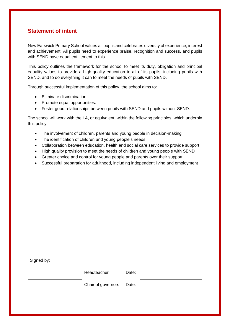# <span id="page-2-0"></span>**Statement of intent**

New Earswick Primary School values all pupils and celebrates diversity of experience, interest and achievement. All pupils need to experience praise, recognition and success, and pupils with SEND have equal entitlement to this.

This policy outlines the framework for the school to meet its duty, obligation and principal equality values to provide a high-quality education to all of its pupils, including pupils with SEND, and to do everything it can to meet the needs of pupils with SEND.

Through successful implementation of this policy, the school aims to:

- Eliminate discrimination.
- Promote equal opportunities.
- Foster good relationships between pupils with SEND and pupils without SEND.

The school will work with the LA, or equivalent, within the following principles, which underpin this policy:

- The involvement of children, parents and young people in decision-making
- The identification of children and young people's needs
- Collaboration between education, health and social care services to provide support
- High quality provision to meet the needs of children and young people with SEND
- Greater choice and control for young people and parents over their support
- Successful preparation for adulthood, including independent living and employment

| Signed by: |                    |       |  |
|------------|--------------------|-------|--|
|            | Headteacher        | Date: |  |
|            | Chair of governors | Date: |  |
|            |                    |       |  |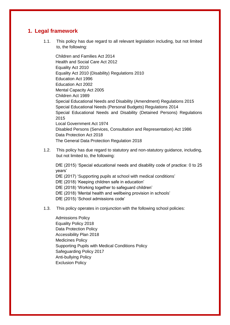# <span id="page-3-0"></span>**1. Legal framework**

1.1. This policy has due regard to all relevant legislation including, but not limited to, the following:

Children and Families Act 2014 Health and Social Care Act 2012 Equality Act 2010 Equality Act 2010 (Disability) Regulations 2010 Education Act 1996 Education Act 2002 Mental Capacity Act 2005 Children Act 1989 Special Educational Needs and Disability (Amendment) Regulations 2015 Special Educational Needs (Personal Budgets) Regulations 2014 Special Educational Needs and Disability (Detained Persons) Regulations 2015 Local Government Act 1974 Disabled Persons (Services, Consultation and Representation) Act 1986 Data Protection Act 2018 The General Data Protection Regulation 2018

1.2. This policy has due regard to statutory and non-statutory guidance, including, but not limited to, the following:

DfE (2015) 'Special educational needs and disability code of practice: 0 to 25 years'

DfE (2017) 'Supporting pupils at school with medical conditions'

DfE (2018) 'Keeping children safe in education'

DfE (2018) 'Working together to safeguard children'

DfE (2018) 'Mental health and wellbeing provision in schools'

DfE (2015) 'School admissions code'

1.3. This policy operates in conjunction with the following school policies:

Admissions Policy Equality Policy 2018 Data Protection Policy Accessibility Plan 2018 Medicines Policy Supporting Pupils with Medical Conditions Policy Safeguarding Policy 2017 Anti-bullying Policy Exclusion Policy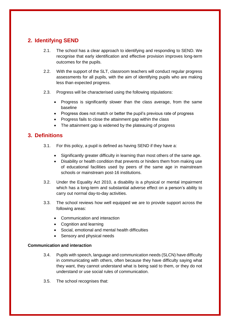# <span id="page-4-0"></span>**2. Identifying SEND**

- 2.1. The school has a clear approach to identifying and responding to SEND. We recognise that early identification and effective provision improves long-term outcomes for the pupils.
- 2.2. With the support of the SLT, classroom teachers will conduct regular progress assessments for all pupils, with the aim of identifying pupils who are making less than expected progress.
- 2.3. Progress will be characterised using the following stipulations:
	- Progress is significantly slower than the class average, from the same baseline
	- Progress does not match or better the pupil's previous rate of progress
	- Progress fails to close the attainment gap within the class
	- The attainment gap is widened by the plateauing of progress

# <span id="page-4-1"></span>**3. Definitions**

- 3.1. For this policy, a pupil is defined as having SEND if they have a:
	- Significantly greater difficulty in learning than most others of the same age.
	- Disability or health condition that prevents or hinders them from making use of educational facilities used by peers of the same age in mainstream schools or mainstream post-16 institutions.
- 3.2. Under the Equality Act 2010, a disability is a physical or mental impairment which has a long-term and substantial adverse effect on a person's ability to carry out normal day-to-day activities.
- 3.3. The school reviews how well equipped we are to provide support across the following areas:
	- Communication and interaction
	- Cognition and learning
	- Social, emotional and mental health difficulties
	- Sensory and physical needs

#### **Communication and interaction**

- 3.4. Pupils with speech, language and communication needs (SLCN) have difficulty in communicating with others, often because they have difficulty saying what they want, they cannot understand what is being said to them, or they do not understand or use social rules of communication.
- 3.5. The school recognises that: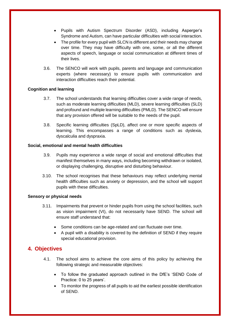- Pupils with Autism Spectrum Disorder (ASD), including Asperger's Syndrome and Autism, can have particular difficulties with social interaction.
- The profile for every pupil with SLCN is different and their needs may change over time. They may have difficulty with one, some, or all the different aspects of speech, language or social communication at different times of their lives.
- 3.6. The SENCO will work with pupils, parents and language and communication experts (where necessary) to ensure pupils with communication and interaction difficulties reach their potential.

#### **Cognition and learning**

- 3.7. The school understands that learning difficulties cover a wide range of needs, such as moderate learning difficulties (MLD), severe learning difficulties (SLD) and profound and multiple learning difficulties (PMLD). The SENCO will ensure that any provision offered will be suitable to the needs of the pupil.
- 3.8. Specific learning difficulties (SpLD), affect one or more specific aspects of learning. This encompasses a range of conditions such as dyslexia, dyscalculia and dyspraxia.

#### **Social, emotional and mental health difficulties**

- 3.9. Pupils may experience a wide range of social and emotional difficulties that manifest themselves in many ways, including becoming withdrawn or isolated, or displaying challenging, disruptive and disturbing behaviour.
- 3.10. The school recognises that these behaviours may reflect underlying mental health difficulties such as anxiety or depression, and the school will support pupils with these difficulties.

#### **Sensory or physical needs**

- 3.11. Impairments that prevent or hinder pupils from using the school facilities, such as vision impairment (VI), do not necessarily have SEND. The school will ensure staff understand that:
	- Some conditions can be age-related and can fluctuate over time.
	- A pupil with a disability is covered by the definition of SEND if they require special educational provision.

## <span id="page-5-0"></span>**4. Objectives**

- 4.1. The school aims to achieve the core aims of this policy by achieving the following strategic and measurable objectives:
	- To follow the graduated approach outlined in the DfE's 'SEND Code of Practice: 0 to 25 years'.
	- To monitor the progress of all pupils to aid the earliest possible identification of SEND.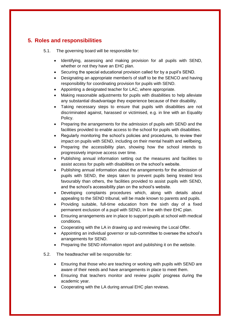# <span id="page-6-0"></span>**5. Roles and responsibilities**

5.1. The governing board will be responsible for:

- Identifying, assessing and making provision for all pupils with SEND, whether or not they have an EHC plan.
- Securing the special educational provision called for by a pupil's SEND.
- Designating an appropriate member/s of staff to be the SENCO and having responsibility for coordinating provision for pupils with SEND.
- Appointing a designated teacher for LAC, where appropriate.
- Making reasonable adjustments for pupils with disabilities to help alleviate any substantial disadvantage they experience because of their disability.
- Taking necessary steps to ensure that pupils with disabilities are not discriminated against, harassed or victimised, e.g. in line with an Equality Policy.
- Preparing the arrangements for the admission of pupils with SEND and the facilities provided to enable access to the school for pupils with disabilities.
- Regularly monitoring the school's policies and procedures, to review their impact on pupils with SEND, including on their mental health and wellbeing.
- Preparing the accessibility plan, showing how the school intends to progressively improve access over time.
- Publishing annual information setting out the measures and facilities to assist access for pupils with disabilities on the school's website.
- Publishing annual information about the arrangements for the admission of pupils with SEND, the steps taken to prevent pupils being treated less favourably than others, the facilities provided to assist pupils with SEND, and the school's accessibility plan on the school's website.
- Developing complaints procedures which, along with details about appealing to the SEND tribunal, will be made known to parents and pupils.
- Providing suitable, full-time education from the sixth day of a fixed permanent exclusion of a pupil with SEND, in line with their EHC plan.
- Ensuring arrangements are in place to support pupils at school with medical conditions.
- Cooperating with the LA in drawing up and reviewing the Local Offer.
- Appointing an individual governor or sub-committee to oversee the school's arrangements for SEND.
- Preparing the SEND information report and publishing it on the website.
- 5.2. The headteacher will be responsible for:
	- Ensuring that those who are teaching or working with pupils with SEND are aware of their needs and have arrangements in place to meet them.
	- Ensuring that teachers monitor and review pupils' progress during the academic year.
	- Cooperating with the LA during annual EHC plan reviews.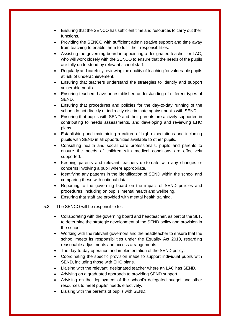- Ensuring that the SENCO has sufficient time and resources to carry out their functions.
- Providing the SENCO with sufficient administrative support and time away from teaching to enable them to fulfil their responsibilities.
- Assisting the governing board in appointing a designated teacher for LAC, who will work closely with the SENCO to ensure that the needs of the pupils are fully understood by relevant school staff.
- Regularly and carefully reviewing the quality of teaching for vulnerable pupils at risk of underachievement.
- Ensuring that teachers understand the strategies to identify and support vulnerable pupils.
- Ensuring teachers have an established understanding of different types of SEND.
- Ensuring that procedures and policies for the day-to-day running of the school do not directly or indirectly discriminate against pupils with SEND.
- Ensuring that pupils with SEND and their parents are actively supported in contributing to needs assessments, and developing and reviewing EHC plans.
- Establishing and maintaining a culture of high expectations and including pupils with SEND in all opportunities available to other pupils.
- Consulting health and social care professionals, pupils and parents to ensure the needs of children with medical conditions are effectively supported.
- Keeping parents and relevant teachers up-to-date with any changes or concerns involving a pupil where appropriate.
- Identifying any patterns in the identification of SEND within the school and comparing these with national data.
- Reporting to the governing board on the impact of SEND policies and procedures, including on pupils' mental health and wellbeing.
- Ensuring that staff are provided with mental health training.
- 5.3. The SENCO will be responsible for:
	- Collaborating with the governing board and headteacher, as part of the SLT, to determine the strategic development of the SEND policy and provision in the school.
	- Working with the relevant governors and the headteacher to ensure that the school meets its responsibilities under the Equality Act 2010, regarding reasonable adjustments and access arrangements.
	- The day-to-day operation and implementation of the SEND policy.
	- Coordinating the specific provision made to support individual pupils with SEND, including those with EHC plans.
	- Liaising with the relevant, designated teacher where an LAC has SEND.
	- Advising on a graduated approach to providing SEND support.
	- Advising on the deployment of the school's delegated budget and other resources to meet pupils' needs effectively.
	- Liaising with the parents of pupils with SEND.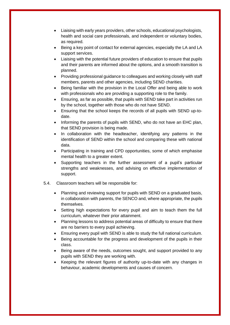- Liaising with early years providers, other schools, educational psychologists, health and social care professionals, and independent or voluntary bodies, as required.
- Being a key point of contact for external agencies, especially the LA and LA support services.
- Liaising with the potential future providers of education to ensure that pupils and their parents are informed about the options, and a smooth transition is planned.
- Providing professional guidance to colleagues and working closely with staff members, parents and other agencies, including SEND charities.
- Being familiar with the provision in the Local Offer and being able to work with professionals who are providing a supporting role to the family.
- Ensuring, as far as possible, that pupils with SEND take part in activities run by the school, together with those who do not have SEND.
- Ensuring that the school keeps the records of all pupils with SEND up-todate.
- Informing the parents of pupils with SEND, who do not have an EHC plan, that SEND provision is being made.
- In collaboration with the headteacher, identifying any patterns in the identification of SEND within the school and comparing these with national data.
- Participating in training and CPD opportunities, some of which emphasise mental health to a greater extent.
- Supporting teachers in the further assessment of a pupil's particular strengths and weaknesses, and advising on effective implementation of support.
- 5.4. Classroom teachers will be responsible for:
	- Planning and reviewing support for pupils with SEND on a graduated basis, in collaboration with parents, the SENCO and, where appropriate, the pupils themselves.
	- Setting high expectations for every pupil and aim to teach them the full curriculum, whatever their prior attainment.
	- Planning lessons to address potential areas of difficulty to ensure that there are no barriers to every pupil achieving.
	- Ensuring every pupil with SEND is able to study the full national curriculum.
	- Being accountable for the progress and development of the pupils in their class.
	- Being aware of the needs, outcomes sought, and support provided to any pupils with SEND they are working with.
	- Keeping the relevant figures of authority up-to-date with any changes in behaviour, academic developments and causes of concern.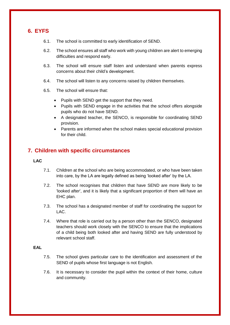# <span id="page-9-0"></span>**6. EYFS**

- 6.1. The school is committed to early identification of SEND.
- 6.2. The school ensures all staff who work with young children are alert to emerging difficulties and respond early.
- 6.3. The school will ensure staff listen and understand when parents express concerns about their child's development.
- 6.4. The school will listen to any concerns raised by children themselves.
- 6.5. The school will ensure that:
	- Pupils with SEND get the support that they need.
	- Pupils with SEND engage in the activities that the school offers alongside pupils who do not have SEND.
	- A designated teacher, the SENCO, is responsible for coordinating SEND provision.
	- Parents are informed when the school makes special educational provision for their child.

# <span id="page-9-1"></span>**7. Children with specific circumstances**

#### **LAC**

- 7.1. Children at the school who are being accommodated, or who have been taken into care, by the LA are legally defined as being 'looked after' by the LA.
- 7.2. The school recognises that children that have SEND are more likely to be 'looked after', and it is likely that a significant proportion of them will have an EHC plan.
- 7.3. The school has a designated member of staff for coordinating the support for LAC.
- 7.4. Where that role is carried out by a person other than the SENCO, designated teachers should work closely with the SENCO to ensure that the implications of a child being both looked after and having SEND are fully understood by relevant school staff.

#### **EAL**

- 7.5. The school gives particular care to the identification and assessment of the SEND of pupils whose first language is not English.
- 7.6. It is necessary to consider the pupil within the context of their home, culture and community.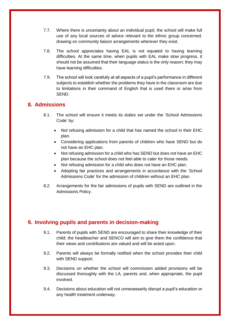- 7.7. Where there is uncertainty about an individual pupil, the school will make full use of any local sources of advice relevant to the ethnic group concerned, drawing on community liaison arrangements wherever they exist.
- 7.8. The school appreciates having EAL is not equated to having learning difficulties. At the same time, when pupils with EAL make slow progress, it should not be assumed that their language status is the only reason; they may have learning difficulties.
- 7.9. The school will look carefully at all aspects of a pupil's performance in different subjects to establish whether the problems they have in the classroom are due to limitations in their command of English that is used there or arise from SEND.

# <span id="page-10-0"></span>**8. Admissions**

- 8.1. The school will ensure it meets its duties set under the 'School Admissions Code' by:
	- Not refusing admission for a child that has named the school in their EHC plan.
	- Considering applications from parents of children who have SEND but do not have an EHC plan.
	- Not refusing admission for a child who has SEND but does not have an EHC plan because the school does not feel able to cater for those needs.
	- Not refusing admission for a child who does not have an EHC plan.
	- Adopting fair practices and arrangements in accordance with the 'School Admissions Code' for the admission of children without an EHC plan.
- 8.2. Arrangements for the fair admissions of pupils with SEND are outlined in the Admissions Policy.

# <span id="page-10-1"></span>**9. Involving pupils and parents in decision-making**

- 9.1. Parents of pupils with SEND are encouraged to share their knowledge of their child; the headteacher and SENCO will aim to give them the confidence that their views and contributions are valued and will be acted upon.
- 9.2. Parents will always be formally notified when the school provides their child with SEND support.
- 9.3. Decisions on whether the school will commission added provisions will be discussed thoroughly with the LA, parents and, when appropriate, the pupil involved.
- 9.4. Decisions about education will not unnecessarily disrupt a pupil's education or any health treatment underway.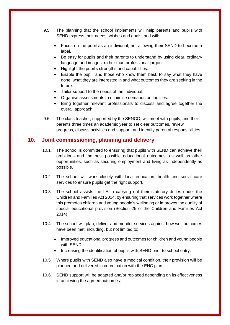- 9.5. The planning that the school implements will help parents and pupils with SEND express their needs, wishes and goals, and will:
	- Focus on the pupil as an individual, not allowing their SEND to become a label.
	- Be easy for pupils and their parents to understand by using clear, ordinary language and images, rather than professional jargon.
	- Highlight the pupil's strengths and capabilities.
	- Enable the pupil, and those who know them best, to say what they have done, what they are interested in and what outcomes they are seeking in the future.
	- Tailor support to the needs of the individual.
	- Organise assessments to minimise demands on families.
	- Bring together relevant professionals to discuss and agree together the overall approach.
- 9.6. The class teacher, supported by the SENCO, will meet with pupils, and their parents three times an academic year to set clear outcomes, review progress, discuss activities and support, and identify parental responsibilities.

# <span id="page-11-0"></span>**10. Joint commissioning, planning and delivery**

- 10.1. The school is committed to ensuring that pupils with SEND can achieve their ambitions and the best possible educational outcomes, as well as other opportunities, such as securing employment and living as independently as possible.
- 10.2. The school will work closely with local education, health and social care services to ensure pupils get the right support.
- 10.3. The school assists the LA in carrying out their statutory duties under the Children and Families Act 2014, by ensuring that services work together where this promotes children and young people's wellbeing or improves the quality of special educational provision (Section 25 of the Children and Families Act 2014).
- 10.4. The school will plan, deliver and monitor services against how well outcomes have been met, including, but not limited to:
	- Improved educational progress and outcomes for children and young people with SEND.
	- Increasing the identification of pupils with SEND prior to school entry.
- 10.5. Where pupils with SEND also have a medical condition, their provision will be planned and delivered in coordination with the EHC plan.
- 10.6. SEND support will be adapted and/or replaced depending on its effectiveness in achieving the agreed outcomes.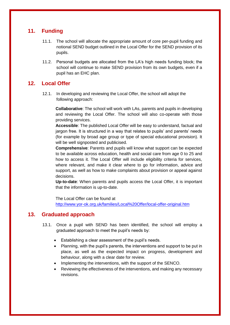# <span id="page-12-0"></span>**11. Funding**

- 11.1. The school will allocate the appropriate amount of core per-pupil funding and notional SEND budget outlined in the Local Offer for the SEND provision of its pupils.
- 11.2. Personal budgets are allocated from the LA's high needs funding block; the school will continue to make SEND provision from its own budgets, even if a pupil has an EHC plan.

# <span id="page-12-1"></span>**12. Local Offer**

12.1. In developing and reviewing the Local Offer, the school will adopt the following approach:

**Collaborative**: The school will work with LAs, parents and pupils in developing and reviewing the Local Offer. The school will also co-operate with those providing services.

**Accessible**: The published Local Offer will be easy to understand, factual and jargon free. It is structured in a way that relates to pupils' and parents' needs (for example by broad age group or type of special educational provision). It will be well signposted and publicised.

**Comprehensive**: Parents and pupils will know what support can be expected to be available across education, health and social care from age 0 to 25 and how to access it. The Local Offer will include eligibility criteria for services, where relevant, and make it clear where to go for information, advice and support, as well as how to make complaints about provision or appeal against decisions.

**Up-to-date**: When parents and pupils access the Local Offer, it is important that the information is up-to-date.

The Local Offer can be found at <http://www.yor-ok.org.uk/families/Local%20Offer/local-offer-original.htm>

# <span id="page-12-2"></span>**13. Graduated approach**

- 13.1. Once a pupil with SEND has been identified, the school will employ a graduated approach to meet the pupil's needs by:
	- Establishing a clear assessment of the pupil's needs.
	- Planning, with the pupil's parents, the interventions and support to be put in place, as well as the expected impact on progress, development and behaviour, along with a clear date for review.
	- Implementing the interventions, with the support of the SENCO.
	- Reviewing the effectiveness of the interventions, and making any necessary revisions.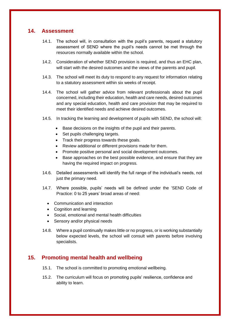## <span id="page-13-0"></span>**14. Assessment**

- 14.1. The school will, in consultation with the pupil's parents, request a statutory assessment of SEND where the pupil's needs cannot be met through the resources normally available within the school.
- 14.2. Consideration of whether SEND provision is required, and thus an EHC plan, will start with the desired outcomes and the views of the parents and pupil.
- 14.3. The school will meet its duty to respond to any request for information relating to a statutory assessment within six weeks of receipt.
- 14.4. The school will gather advice from relevant professionals about the pupil concerned, including their education, health and care needs, desired outcomes and any special education, health and care provision that may be required to meet their identified needs and achieve desired outcomes.
- 14.5. In tracking the learning and development of pupils with SEND, the school will:
	- Base decisions on the insights of the pupil and their parents.
	- Set pupils challenging targets.
	- Track their progress towards these goals.
	- Review additional or different provisions made for them.
	- Promote positive personal and social development outcomes.
	- Base approaches on the best possible evidence, and ensure that they are having the required impact on progress.
- 14.6. Detailed assessments will identify the full range of the individual's needs, not just the primary need.
- 14.7. Where possible, pupils' needs will be defined under the 'SEND Code of Practice: 0 to 25 years' broad areas of need:
	- Communication and interaction
	- Cognition and learning
	- Social, emotional and mental health difficulties
	- Sensory and/or physical needs
- 14.8. Where a pupil continually makes little or no progress, or is working substantially below expected levels, the school will consult with parents before involving specialists.

# <span id="page-13-1"></span>**15. Promoting mental health and wellbeing**

- 15.1. The school is committed to promoting emotional wellbeing.
- 15.2. The curriculum will focus on promoting pupils' resilience, confidence and ability to learn.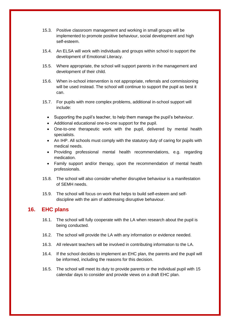- 15.3. Positive classroom management and working in small groups will be implemented to promote positive behaviour, social development and high self-esteem.
- 15.4. An ELSA will work with individuals and groups within school to support the development of Emotional Literacy.
- 15.5. Where appropriate, the school will support parents in the management and development of their child.
- 15.6. When in-school intervention is not appropriate, referrals and commissioning will be used instead. The school will continue to support the pupil as best it can.
- 15.7. For pupils with more complex problems, additional in-school support will include:
	- Supporting the pupil's teacher, to help them manage the pupil's behaviour.
	- Additional educational one-to-one support for the pupil.
	- One-to-one therapeutic work with the pupil, delivered by mental health specialists.
	- An IHP. All schools must comply with the statutory duty of caring for pupils with medical needs.
	- Providing professional mental health recommendations, e.g. regarding medication.
	- Family support and/or therapy, upon the recommendation of mental health professionals.
- 15.8. The school will also consider whether disruptive behaviour is a manifestation of SEMH needs.
- 15.9. The school will focus on work that helps to build self-esteem and selfdiscipline with the aim of addressing disruptive behaviour.

## <span id="page-14-0"></span>**16. EHC plans**

- 16.1. The school will fully cooperate with the LA when research about the pupil is being conducted.
- 16.2. The school will provide the LA with any information or evidence needed.
- 16.3. All relevant teachers will be involved in contributing information to the LA.
- 16.4. If the school decides to implement an EHC plan, the parents and the pupil will be informed, including the reasons for this decision.
- 16.5. The school will meet its duty to provide parents or the individual pupil with 15 calendar days to consider and provide views on a draft EHC plan.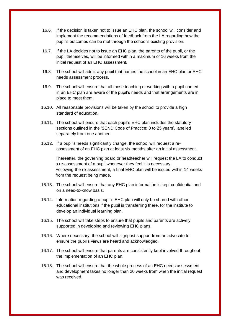- 16.6. If the decision is taken not to issue an EHC plan, the school will consider and implement the recommendations of feedback from the LA regarding how the pupil's outcomes can be met through the school's existing provision.
- 16.7. If the LA decides not to issue an EHC plan, the parents of the pupil, or the pupil themselves, will be informed within a maximum of 16 weeks from the initial request of an EHC assessment.
- 16.8. The school will admit any pupil that names the school in an EHC plan or EHC needs assessment process.
- 16.9. The school will ensure that all those teaching or working with a pupil named in an EHC plan are aware of the pupil's needs and that arrangements are in place to meet them.
- 16.10. All reasonable provisions will be taken by the school to provide a high standard of education.
- 16.11. The school will ensure that each pupil's EHC plan includes the statutory sections outlined in the 'SEND Code of Practice: 0 to 25 years', labelled separately from one another.
- 16.12. If a pupil's needs significantly change, the school will request a reassessment of an EHC plan at least six months after an initial assessment.

Thereafter, the governing board or headteacher will request the LA to conduct a re-assessment of a pupil whenever they feel it is necessary. Following the re-assessment, a final EHC plan will be issued within 14 weeks from the request being made.

- 16.13. The school will ensure that any EHC plan information is kept confidential and on a need-to-know basis.
- 16.14. Information regarding a pupil's EHC plan will only be shared with other educational institutions if the pupil is transferring there, for the institute to develop an individual learning plan.
- 16.15. The school will take steps to ensure that pupils and parents are actively supported in developing and reviewing EHC plans.
- 16.16. Where necessary, the school will signpost support from an advocate to ensure the pupil's views are heard and acknowledged.
- 16.17. The school will ensure that parents are consistently kept involved throughout the implementation of an EHC plan.
- 16.18. The school will ensure that the whole process of an EHC needs assessment and development takes no longer than 20 weeks from when the initial request was received.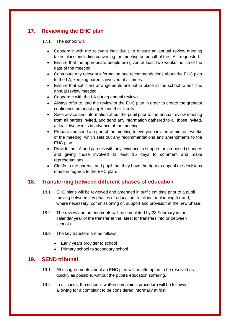# <span id="page-16-0"></span>**17. Reviewing the EHC plan**

17.1. The school will:

- Cooperate with the relevant individuals to ensure an annual review meeting takes place, including convening the meeting on behalf of the LA if requested.
- Ensure that the appropriate people are given at least two weeks' notice of the date of the meeting.
- Contribute any relevant information and recommendations about the EHC plan to the LA, keeping parents involved at all times.
- Ensure that sufficient arrangements are put in place at the school to host the annual review meeting.
- Cooperate with the LA during annual reviews.
- Always offer to lead the review of the EHC plan in order to create the greatest confidence amongst pupils and their family.
- Seek advice and information about the pupil prior to the annual review meeting from all parties invited, and send any information gathered to all those invited, at least two weeks in advance of the meeting.
- Prepare and send a report of the meeting to everyone invited within four weeks of the meeting, which sets out any recommendations and amendments to the EHC plan.
- Provide the LA and parents with any evidence to support the proposed changes and giving those involved at least 15 days to comment and make representations.
- Clarify to the parents and pupil that they have the right to appeal the decisions made in regards to the EHC plan.

# <span id="page-16-1"></span>**18. Transferring between different phases of education**

- 18.1. EHC plans will be reviewed and amended in sufficient time prior to a pupil moving between key phases of education, to allow for planning for and, where necessary, commissioning of, support and provision at the new phase.
- 18.2. The review and amendments will be completed by 28 February in the calendar year of the transfer at the latest for transfers into or between schools.
- 18.3. The key transfers are as follows:
	- Early years provider to school
	- Primary school to secondary school

## <span id="page-16-2"></span>**19. SEND tribunal**

- 19.1. All disagreements about an EHC plan will be attempted to be resolved as quickly as possible, without the pupil's education suffering.
- 19.2. In all cases, the school's written complaints procedure will be followed, allowing for a complaint to be considered informally at first.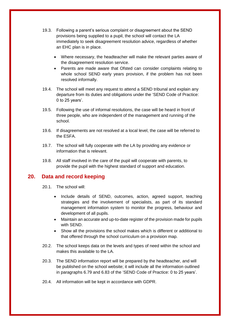- 19.3. Following a parent's serious complaint or disagreement about the SEND provisions being supplied to a pupil, the school will contact the LA immediately to seek disagreement resolution advice, regardless of whether an EHC plan is in place.
	- Where necessary, the headteacher will make the relevant parties aware of the disagreement resolution service.
	- Parents are made aware that Ofsted can consider complaints relating to whole school SEND early years provision, if the problem has not been resolved informally.
- 19.4. The school will meet any request to attend a SEND tribunal and explain any departure from its duties and obligations under the 'SEND Code of Practice: 0 to 25 years'.
- 19.5. Following the use of informal resolutions, the case will be heard in front of three people, who are independent of the management and running of the school.
- 19.6. If disagreements are not resolved at a local level, the case will be referred to the ESFA.
- 19.7. The school will fully cooperate with the LA by providing any evidence or information that is relevant.
- 19.8. All staff involved in the care of the pupil will cooperate with parents, to provide the pupil with the highest standard of support and education.

#### <span id="page-17-0"></span>**20. Data and record keeping**

- 20.1. The school will:
	- Include details of SEND, outcomes, action, agreed support, teaching strategies and the involvement of specialists, as part of its standard management information system to monitor the progress, behaviour and development of all pupils.
	- Maintain an accurate and up-to-date register of the provision made for pupils with SEND.
	- Show all the provisions the school makes which is different or additional to that offered through the school curriculum on a provision map.
- 20.2. The school keeps data on the levels and types of need within the school and makes this available to the LA.
- 20.3. The SEND information report will be prepared by the headteacher, and will be published on the school website; it will include all the information outlined in paragraphs 6.79 and 6.83 of the 'SEND Code of Practice: 0 to 25 years'.
- 20.4. All information will be kept in accordance with GDPR.